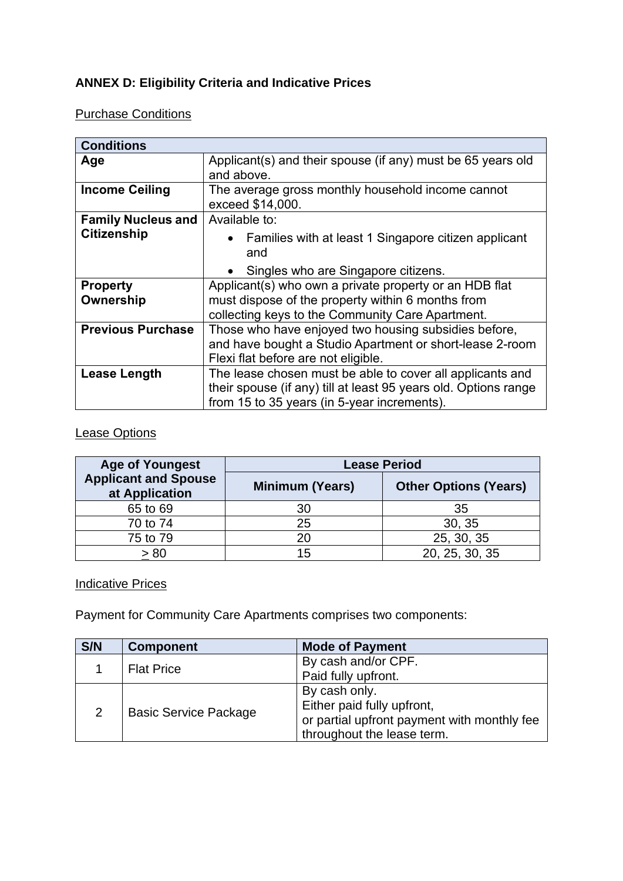# **ANNEX D: Eligibility Criteria and Indicative Prices**

## Purchase Conditions

| <b>Conditions</b>            |                                                                                                                                                                             |
|------------------------------|-----------------------------------------------------------------------------------------------------------------------------------------------------------------------------|
| Age                          | Applicant(s) and their spouse (if any) must be 65 years old<br>and above.                                                                                                   |
| <b>Income Ceiling</b>        | The average gross monthly household income cannot<br>exceed \$14,000.                                                                                                       |
| <b>Family Nucleus and</b>    | Available to:                                                                                                                                                               |
| <b>Citizenship</b>           | • Families with at least 1 Singapore citizen applicant<br>and                                                                                                               |
|                              | Singles who are Singapore citizens.<br>$\bullet$                                                                                                                            |
| <b>Property</b><br>Ownership | Applicant(s) who own a private property or an HDB flat<br>must dispose of the property within 6 months from<br>collecting keys to the Community Care Apartment.             |
| <b>Previous Purchase</b>     | Those who have enjoyed two housing subsidies before,<br>and have bought a Studio Apartment or short-lease 2-room<br>Flexi flat before are not eligible.                     |
| Lease Length                 | The lease chosen must be able to cover all applicants and<br>their spouse (if any) till at least 95 years old. Options range<br>from 15 to 35 years (in 5-year increments). |

## Lease Options

| <b>Age of Youngest</b>                        | <b>Lease Period</b>    |                              |  |
|-----------------------------------------------|------------------------|------------------------------|--|
| <b>Applicant and Spouse</b><br>at Application | <b>Minimum (Years)</b> | <b>Other Options (Years)</b> |  |
| 65 to 69                                      | 30                     | 35                           |  |
| 70 to 74                                      | 25                     | 30, 35                       |  |
| 75 to 79                                      | 20                     | 25, 30, 35                   |  |
| 80 >                                          | 15                     | 20, 25, 30, 35               |  |

## **Indicative Prices**

Payment for Community Care Apartments comprises two components:

| S/N | <b>Component</b>             | <b>Mode of Payment</b>                      |
|-----|------------------------------|---------------------------------------------|
|     | <b>Flat Price</b>            | By cash and/or CPF.                         |
|     |                              | Paid fully upfront.                         |
| 2   |                              | By cash only.                               |
|     | <b>Basic Service Package</b> | Either paid fully upfront,                  |
|     |                              | or partial upfront payment with monthly fee |
|     |                              | throughout the lease term.                  |